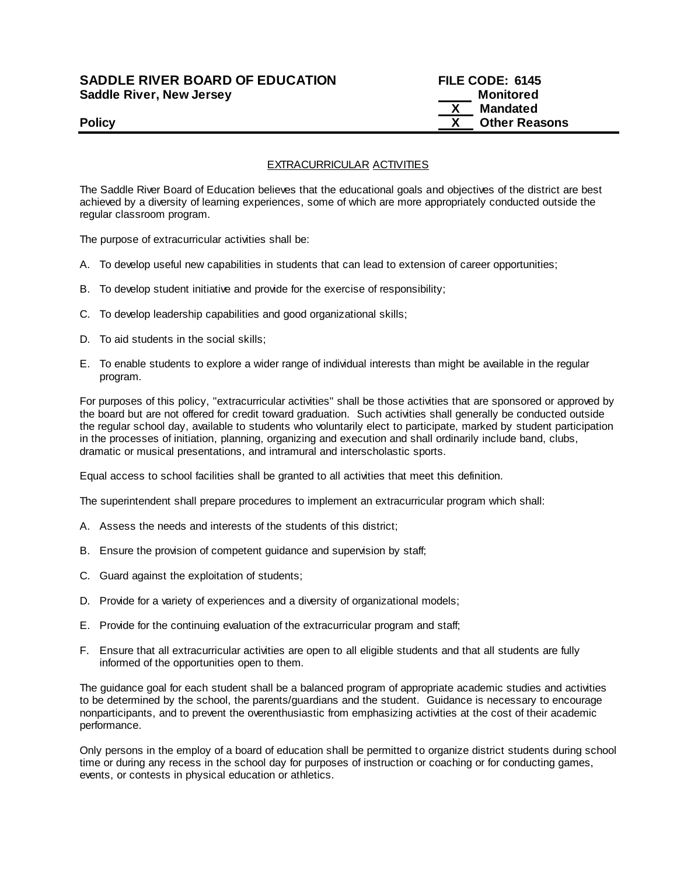# **SADDLE RIVER BOARD OF EDUCATION FILE CODE: 6145 Saddle River, New Jersey Monitored Example 2018 19 No. 2018 19:30 Monitored**

# **X Mandated Policy CONSERVING CONSERVANCE CONSERVANCE CONSERVANCE CONSERVANCE CONSERVANCE CONSERVANCE CONSERVANCE CONSERVANCE CONSERVANCE CONSERVANCE CONSERVANCE CONSERVANCE CONSERVANCE CONSERVANCE CONSERVANCE CONSERVANCE CONSERVAN**

# EXTRACURRICULAR ACTIVITIES

The Saddle River Board of Education believes that the educational goals and objectives of the district are best achieved by a diversity of learning experiences, some of which are more appropriately conducted outside the regular classroom program.

The purpose of extracurricular activities shall be:

- A. To develop useful new capabilities in students that can lead to extension of career opportunities;
- B. To develop student initiative and provide for the exercise of responsibility;
- C. To develop leadership capabilities and good organizational skills;
- D. To aid students in the social skills;
- E. To enable students to explore a wider range of individual interests than might be available in the regular program.

For purposes of this policy, "extracurricular activities" shall be those activities that are sponsored or approved by the board but are not offered for credit toward graduation. Such activities shall generally be conducted outside the regular school day, available to students who voluntarily elect to participate, marked by student participation in the processes of initiation, planning, organizing and execution and shall ordinarily include band, clubs, dramatic or musical presentations, and intramural and interscholastic sports.

Equal access to school facilities shall be granted to all activities that meet this definition.

The superintendent shall prepare procedures to implement an extracurricular program which shall:

- A. Assess the needs and interests of the students of this district;
- B. Ensure the provision of competent guidance and supervision by staff;
- C. Guard against the exploitation of students;
- D. Provide for a variety of experiences and a diversity of organizational models;
- E. Provide for the continuing evaluation of the extracurricular program and staff;
- F. Ensure that all extracurricular activities are open to all eligible students and that all students are fully informed of the opportunities open to them.

The guidance goal for each student shall be a balanced program of appropriate academic studies and activities to be determined by the school, the parents/guardians and the student. Guidance is necessary to encourage nonparticipants, and to prevent the overenthusiastic from emphasizing activities at the cost of their academic performance.

Only persons in the employ of a board of education shall be permitted to organize district students during school time or during any recess in the school day for purposes of instruction or coaching or for conducting games, events, or contests in physical education or athletics.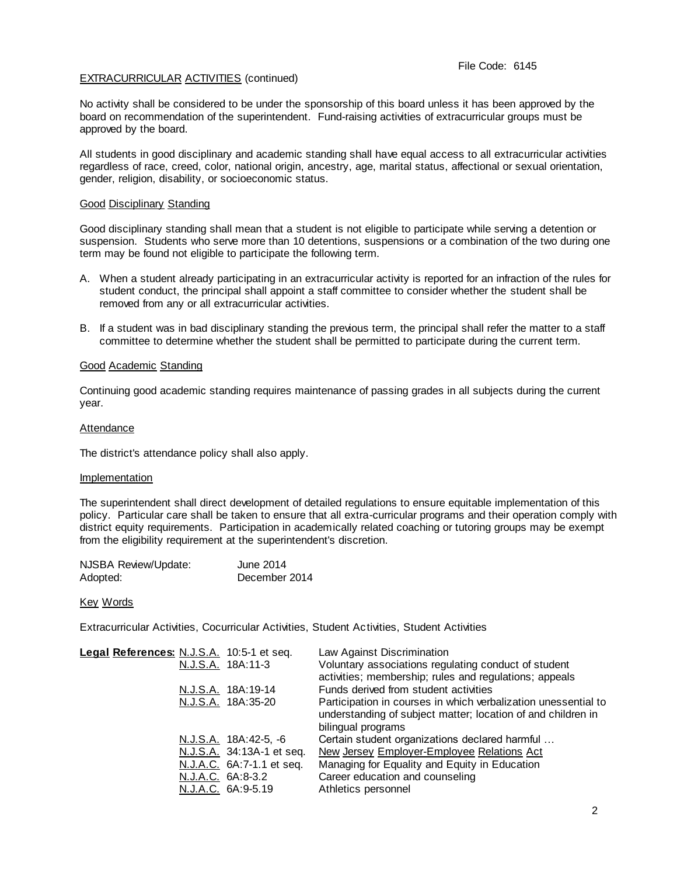# EXTRACURRICULAR ACTIVITIES (continued)

No activity shall be considered to be under the sponsorship of this board unless it has been approved by the board on recommendation of the superintendent. Fund-raising activities of extracurricular groups must be approved by the board.

All students in good disciplinary and academic standing shall have equal access to all extracurricular activities regardless of race, creed, color, national origin, ancestry, age, marital status, affectional or sexual orientation, gender, religion, disability, or socioeconomic status.

### Good Disciplinary Standing

Good disciplinary standing shall mean that a student is not eligible to participate while serving a detention or suspension. Students who serve more than 10 detentions, suspensions or a combination of the two during one term may be found not eligible to participate the following term.

- A. When a student already participating in an extracurricular activity is reported for an infraction of the rules for student conduct, the principal shall appoint a staff committee to consider whether the student shall be removed from any or all extracurricular activities.
- B. If a student was in bad disciplinary standing the previous term, the principal shall refer the matter to a staff committee to determine whether the student shall be permitted to participate during the current term.

### Good Academic Standing

Continuing good academic standing requires maintenance of passing grades in all subjects during the current year.

### Attendance

The district's attendance policy shall also apply.

#### **Implementation**

The superintendent shall direct development of detailed regulations to ensure equitable implementation of this policy. Particular care shall be taken to ensure that all extra-curricular programs and their operation comply with district equity requirements. Participation in academically related coaching or tutoring groups may be exempt from the eligibility requirement at the superintendent's discretion.

| NJSBA Review/Update: | June 2014     |
|----------------------|---------------|
| Adopted:             | December 2014 |

#### Key Words

Extracurricular Activities, Cocurricular Activities, Student Activities, Student Activities

| Legal References: N.J.S.A. 10:5-1 et seq. |                   | N.J.S.A. 18A:11-3         | Law Against Discrimination<br>Voluntary associations regulating conduct of student                                                                   |
|-------------------------------------------|-------------------|---------------------------|------------------------------------------------------------------------------------------------------------------------------------------------------|
|                                           |                   |                           | activities; membership; rules and regulations; appeals                                                                                               |
|                                           | N.J.S.A.          | 18A:19-14                 | Funds derived from student activities                                                                                                                |
|                                           |                   | N.J.S.A. 18A:35-20        | Participation in courses in which verbalization unessential to<br>understanding of subject matter; location of and children in<br>bilingual programs |
|                                           |                   | N.J.S.A. 18A:42-5, -6     | Certain student organizations declared harmful                                                                                                       |
|                                           |                   | N.J.S.A. 34:13A-1 et seq. | New Jersey Employer-Employee Relations Act                                                                                                           |
|                                           |                   | N.J.A.C. 6A:7-1.1 et seq. | Managing for Equality and Equity in Education                                                                                                        |
|                                           | N.J.A.C. 6A:8-3.2 |                           | Career education and counseling                                                                                                                      |
|                                           |                   | N.J.A.C. 6A:9-5.19        | Athletics personnel                                                                                                                                  |
|                                           |                   |                           |                                                                                                                                                      |